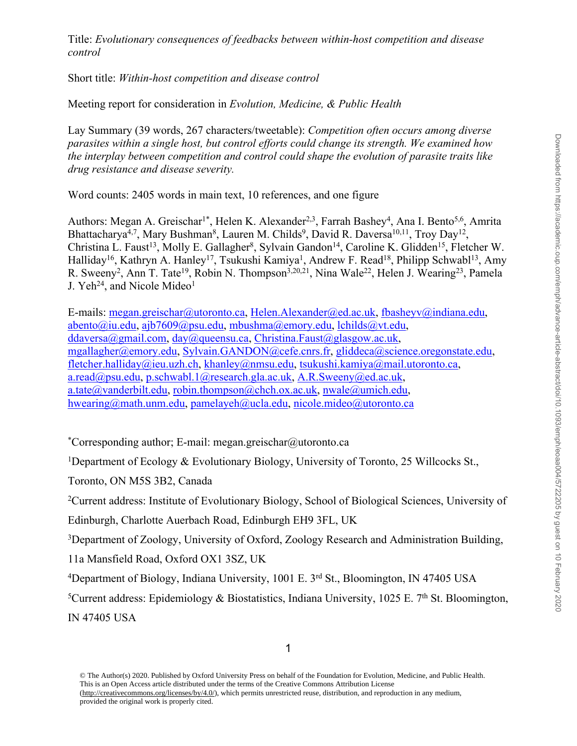Title: *Evolutionary consequences of feedbacks between within-host competition and disease control*

Short title: *Within-host competition and disease control*

Meeting report for consideration in *Evolution, Medicine, & Public Health*

Lay Summary (39 words, 267 characters/tweetable): *Competition often occurs among diverse parasites within a single host, but control efforts could change its strength. We examined how the interplay between competition and control could shape the evolution of parasite traits like drug resistance and disease severity.*

Word counts: 2405 words in main text, 10 references, and one figure

Authors: Megan A. Greischar<sup>1\*</sup>, Helen K. Alexander<sup>2,3</sup>, Farrah Bashey<sup>4</sup>, Ana I. Bento<sup>5,6</sup>, Amrita Bhattacharya<sup>4,7</sup>, Mary Bushman<sup>8</sup>, Lauren M. Childs<sup>9</sup>, David R. Daversa<sup>10,11</sup>, Troy Day<sup>12</sup>, Christina L. Faust<sup>13</sup>, Molly E. Gallagher<sup>8</sup>, Sylvain Gandon<sup>14</sup>, Caroline K. Glidden<sup>15</sup>, Fletcher W. Halliday<sup>16</sup>, Kathryn A. Hanley<sup>17</sup>, Tsukushi Kamiya<sup>1</sup>, Andrew F. Read<sup>18</sup>, Philipp Schwabl<sup>13</sup>, Amy R. Sweeny<sup>2</sup>, Ann T. Tate<sup>19</sup>, Robin N. Thompson<sup>3,20,21</sup>, Nina Wale<sup>22</sup>, Helen J. Wearing<sup>23</sup>, Pamela J. Yeh<sup>24</sup>, and Nicole Mideo<sup>1</sup>

E-mails: megan.greischar@utoronto.ca, Helen.Alexander@ed.ac.uk, fbasheyv@indiana.edu, abento@iu.edu, ajb7609@psu.edu, mbushma@emory.edu, lchilds@vt.edu, ddaversa@gmail.com, day@queensu.ca, Christina.Faust@glasgow.ac.uk, mgallag[her@emory.edu, Sylvain.GAN](mailto:megan.greischar@utoronto.ca)[DON@cefe.cnrs.fr, gliddeca](mailto:Helen.Alexander@ed.ac.uk)[@science.oregonstate.ed](mailto:fbasheyv@indiana.edu)u, [fletcher.halliday](mailto:abento@iu.edu)[@ieu.uzh.ch, khan](mailto:ajb7609@psu.edu)[ley@nmsu.edu, tsukush](mailto:mbushma@emory.edu)[i.kamiya@mail.](mailto:lchilds@vt.edu)utoronto.ca, [a.read@psu.edu, p.sch](mailto:ddaversa@gmail.com)[wabl.1@research.](mailto:day@queensu.ca)[gla.ac.uk, A.R.Sweeny@ed.ac.uk](mailto:Christina.Faust@glasgow.ac.uk), [a.tate@vanderbilt.edu, ro](mailto:mgallagher@emory.edu)[bin.thompson@chch.ox.ac.uk, nw](mailto:Sylvain.GANDON@cefe.cnrs.fr)ale@umich.edu, [hwearing@math.unm.edu, pa](mailto:fletcher.halliday@ieu.uzh.ch)[melayeh@ucla.edu,](mailto:khanley@nmsu.edu) [n](mailto:A.R.Sweeny@ed.ac.uk)[icole.mideo@utoronto.ca](mailto:tsukushi.kamiya@mail.utoronto.ca)

\*[Corresponding author; E-](mailto:hwearing@math.unm.edu)[mail: megan.greischar](mailto:pamelayeh@ucla.edu)[@utoronto.ca](mailto:nicole.mideo@utoronto.ca)

<sup>1</sup>Department of Ecology & Evolutionary Biology, University of Toronto, 25 Willcocks St.,

Toronto, ON M5S 3B2, Canada

<sup>2</sup>Current address: Institute of Evolutionary Biology, School of Biological Sciences, University of

Edinburgh, Charlotte Auerbach Road, Edinburgh EH9 3FL, UK

<sup>3</sup>Department of Zoology, University of Oxford, Zoology Research and Administration Building,

11a Mansfield Road, Oxford OX1 3SZ, UK

<sup>4</sup>Department of Biology, Indiana University, 1001 E. 3rd St., Bloomington, IN 47405 USA

<sup>5</sup>Current address: Epidemiology & Biostatistics, Indiana University, 1025 E. 7<sup>th</sup> St. Bloomington, IN 47405 USA

<sup>©</sup> The Author(s) 2020. Published by Oxford University Press on behalf of the Foundation for Evolution, Medicine, and Public Health. This is an Open Access article distributed under the terms of the Creative Commons Attribution License (http://creativecommons.org/licenses/by/4.0/), which permits unrestricted reuse, distribution, and reproduction in any medium, provided the original work is properly cited.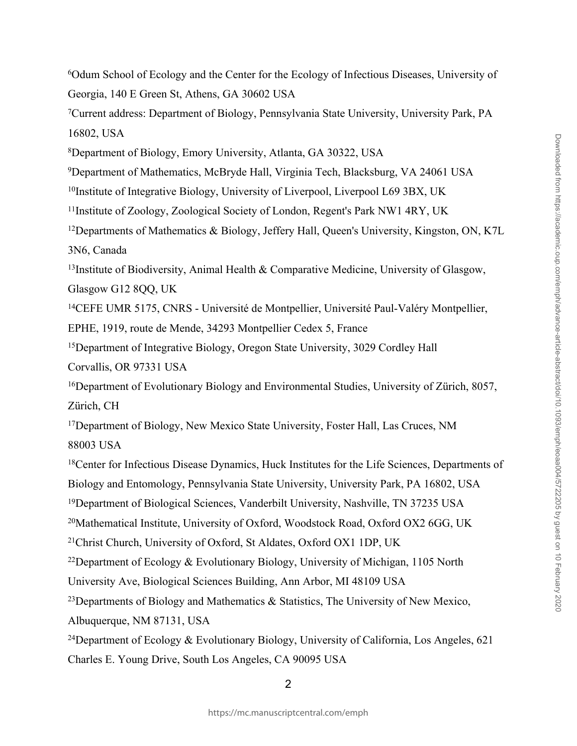<sup>6</sup>Odum School of Ecology and the Center for the Ecology of Infectious Diseases, University of Georgia, 140 E Green St, Athens, GA 30602 USA

<sup>7</sup>Current address: Department of Biology, Pennsylvania State University, University Park, PA 16802, USA

<sup>8</sup>Department of Biology, Emory University, Atlanta, GA 30322, USA

<sup>9</sup>Department of Mathematics, McBryde Hall, Virginia Tech, Blacksburg, VA 24061 USA

<sup>10</sup>Institute of Integrative Biology, University of Liverpool, Liverpool L69 3BX, UK

<sup>11</sup>Institute of Zoology, Zoological Society of London, Regent's Park NW1 4RY, UK

<sup>12</sup>Departments of Mathematics & Biology, Jeffery Hall, Queen's University, Kingston, ON, K7L 3N6, Canada

<sup>13</sup>Institute of Biodiversity, Animal Health & Comparative Medicine, University of Glasgow,

Glasgow G12 8QQ, UK

<sup>14</sup>CEFE UMR 5175, CNRS - Université de Montpellier, Université Paul-Valéry Montpellier,

EPHE, 1919, route de Mende, 34293 Montpellier Cedex 5, France

<sup>15</sup>Department of Integrative Biology, Oregon State University, 3029 Cordley Hall

Corvallis, OR 97331 USA

<sup>16</sup>Department of Evolutionary Biology and Environmental Studies, University of Zürich, 8057, Zürich, CH

<sup>17</sup>Department of Biology, New Mexico State University, Foster Hall, Las Cruces, NM 88003 USA

<sup>18</sup>Center for Infectious Disease Dynamics, Huck Institutes for the Life Sciences, Departments of Biology and Entomology, Pennsylvania State University, University Park, PA 16802, USA

<sup>19</sup>Department of Biological Sciences, Vanderbilt University, Nashville, TN 37235 USA

<sup>20</sup>Mathematical Institute, University of Oxford, Woodstock Road, Oxford OX2 6GG, UK

<sup>21</sup>Christ Church, University of Oxford, St Aldates, Oxford OX1 1DP, UK

<sup>22</sup>Department of Ecology & Evolutionary Biology, University of Michigan, 1105 North

University Ave, Biological Sciences Building, Ann Arbor, MI 48109 USA

<sup>23</sup>Departments of Biology and Mathematics & Statistics, The University of New Mexico,

Albuquerque, NM 87131, USA

<sup>24</sup>Department of Ecology & Evolutionary Biology, University of California, Los Angeles, 621 Charles E. Young Drive, South Los Angeles, CA 90095 USA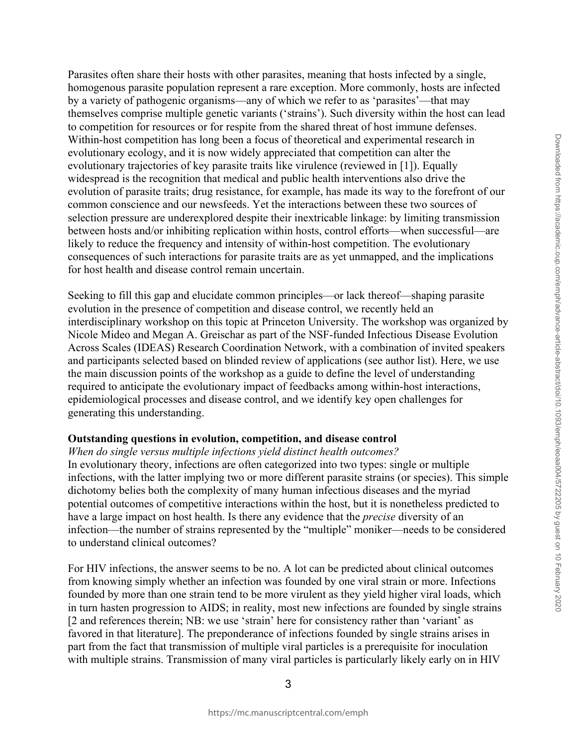Parasites often share their hosts with other parasites, meaning that hosts infected by a single, homogenous parasite population represent a rare exception. More commonly, hosts are infected by a variety of pathogenic organisms—any of which we refer to as 'parasites'—that may themselves comprise multiple genetic variants ('strains'). Such diversity within the host can lead to competition for resources or for respite from the shared threat of host immune defenses. Within-host competition has long been a focus of theoretical and experimental research in evolutionary ecology, and it is now widely appreciated that competition can alter the evolutionary trajectories of key parasite traits like virulence (reviewed in [1]). Equally widespread is the recognition that medical and public health interventions also drive the evolution of parasite traits; drug resistance, for example, has made its way to the forefront of our common conscience and our newsfeeds. Yet the interactions between these two sources of selection pressure are underexplored despite their inextricable linkage: by limiting transmission between hosts and/or inhibiting replication within hosts, control efforts—when successful—are likely to reduce the frequency and intensity of within-host competition. The evolutionary consequences of such interactions for parasite traits are as yet unmapped, and the implications for host health and disease control remain uncertain.

Seeking to fill this gap and elucidate common principles—or lack thereof—shaping parasite evolution in the presence of competition and disease control, we recently held an interdisciplinary workshop on this topic at Princeton University. The workshop was organized by Nicole Mideo and Megan A. Greischar as part of the NSF-funded Infectious Disease Evolution Across Scales (IDEAS) Research Coordination Network, with a combination of invited speakers and participants selected based on blinded review of applications (see author list). Here, we use the main discussion points of the workshop as a guide to define the level of understanding required to anticipate the evolutionary impact of feedbacks among within-host interactions, epidemiological processes and disease control, and we identify key open challenges for generating this understanding.

### **Outstanding questions in evolution, competition, and disease control**

*When do single versus multiple infections yield distinct health outcomes?* In evolutionary theory, infections are often categorized into two types: single or multiple infections, with the latter implying two or more different parasite strains (or species). This simple dichotomy belies both the complexity of many human infectious diseases and the myriad potential outcomes of competitive interactions within the host, but it is nonetheless predicted to have a large impact on host health. Is there any evidence that the *precise* diversity of an infection—the number of strains represented by the "multiple" moniker—needs to be considered to understand clinical outcomes?

For HIV infections, the answer seems to be no. A lot can be predicted about clinical outcomes from knowing simply whether an infection was founded by one viral strain or more. Infections founded by more than one strain tend to be more virulent as they yield higher viral loads, which in turn hasten progression to AIDS; in reality, most new infections are founded by single strains [2 and references therein; NB: we use 'strain' here for consistency rather than 'variant' as favored in that literature]. The preponderance of infections founded by single strains arises in part from the fact that transmission of multiple viral particles is a prerequisite for inoculation with multiple strains. Transmission of many viral particles is particularly likely early on in HIV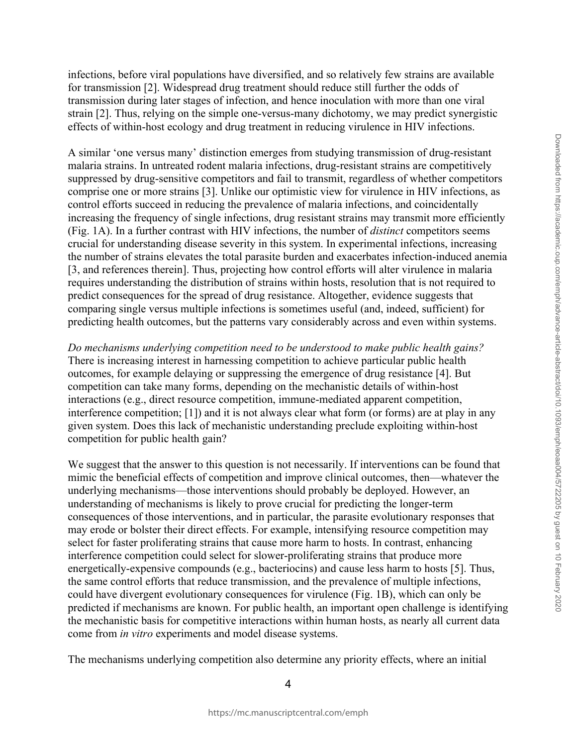infections, before viral populations have diversified, and so relatively few strains are available for transmission [2]. Widespread drug treatment should reduce still further the odds of transmission during later stages of infection, and hence inoculation with more than one viral strain [2]. Thus, relying on the simple one-versus-many dichotomy, we may predict synergistic effects of within-host ecology and drug treatment in reducing virulence in HIV infections.

A similar 'one versus many' distinction emerges from studying transmission of drug-resistant malaria strains. In untreated rodent malaria infections, drug-resistant strains are competitively suppressed by drug-sensitive competitors and fail to transmit, regardless of whether competitors comprise one or more strains [3]. Unlike our optimistic view for virulence in HIV infections, as control efforts succeed in reducing the prevalence of malaria infections, and coincidentally increasing the frequency of single infections, drug resistant strains may transmit more efficiently (Fig. 1A). In a further contrast with HIV infections, the number of *distinct* competitors seems crucial for understanding disease severity in this system. In experimental infections, increasing the number of strains elevates the total parasite burden and exacerbates infection-induced anemia [3, and references therein]. Thus, projecting how control efforts will alter virulence in malaria requires understanding the distribution of strains within hosts, resolution that is not required to predict consequences for the spread of drug resistance. Altogether, evidence suggests that comparing single versus multiple infections is sometimes useful (and, indeed, sufficient) for predicting health outcomes, but the patterns vary considerably across and even within systems.

*Do mechanisms underlying competition need to be understood to make public health gains?*  There is increasing interest in harnessing competition to achieve particular public health outcomes, for example delaying or suppressing the emergence of drug resistance [4]. But competition can take many forms, depending on the mechanistic details of within-host interactions (e.g., direct resource competition, immune-mediated apparent competition, interference competition; [1]) and it is not always clear what form (or forms) are at play in any given system. Does this lack of mechanistic understanding preclude exploiting within-host competition for public health gain?

We suggest that the answer to this question is not necessarily. If interventions can be found that mimic the beneficial effects of competition and improve clinical outcomes, then—whatever the underlying mechanisms—those interventions should probably be deployed. However, an understanding of mechanisms is likely to prove crucial for predicting the longer-term consequences of those interventions, and in particular, the parasite evolutionary responses that may erode or bolster their direct effects. For example, intensifying resource competition may select for faster proliferating strains that cause more harm to hosts. In contrast, enhancing interference competition could select for slower-proliferating strains that produce more energetically-expensive compounds (e.g., bacteriocins) and cause less harm to hosts [5]. Thus, the same control efforts that reduce transmission, and the prevalence of multiple infections, could have divergent evolutionary consequences for virulence (Fig. 1B), which can only be predicted if mechanisms are known. For public health, an important open challenge is identifying the mechanistic basis for competitive interactions within human hosts, as nearly all current data come from *in vitro* experiments and model disease systems.

The mechanisms underlying competition also determine any priority effects, where an initial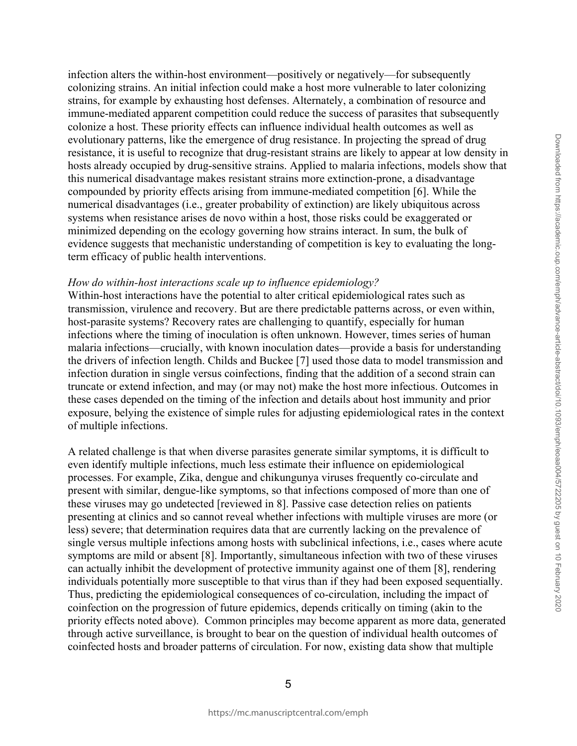infection alters the within-host environment—positively or negatively—for subsequently colonizing strains. An initial infection could make a host more vulnerable to later colonizing strains, for example by exhausting host defenses. Alternately, a combination of resource and immune-mediated apparent competition could reduce the success of parasites that subsequently colonize a host. These priority effects can influence individual health outcomes as well as evolutionary patterns, like the emergence of drug resistance. In projecting the spread of drug resistance, it is useful to recognize that drug-resistant strains are likely to appear at low density in hosts already occupied by drug-sensitive strains. Applied to malaria infections, models show that this numerical disadvantage makes resistant strains more extinction-prone, a disadvantage compounded by priority effects arising from immune-mediated competition [6]. While the numerical disadvantages (i.e., greater probability of extinction) are likely ubiquitous across systems when resistance arises de novo within a host, those risks could be exaggerated or minimized depending on the ecology governing how strains interact. In sum, the bulk of evidence suggests that mechanistic understanding of competition is key to evaluating the longterm efficacy of public health interventions.

#### *How do within-host interactions scale up to influence epidemiology?*

Within-host interactions have the potential to alter critical epidemiological rates such as transmission, virulence and recovery. But are there predictable patterns across, or even within, host-parasite systems? Recovery rates are challenging to quantify, especially for human infections where the timing of inoculation is often unknown. However, times series of human malaria infections—crucially, with known inoculation dates—provide a basis for understanding the drivers of infection length. Childs and Buckee [7] used those data to model transmission and infection duration in single versus coinfections, finding that the addition of a second strain can truncate or extend infection, and may (or may not) make the host more infectious. Outcomes in these cases depended on the timing of the infection and details about host immunity and prior exposure, belying the existence of simple rules for adjusting epidemiological rates in the context of multiple infections.

A related challenge is that when diverse parasites generate similar symptoms, it is difficult to even identify multiple infections, much less estimate their influence on epidemiological processes. For example, Zika, dengue and chikungunya viruses frequently co-circulate and present with similar, dengue-like symptoms, so that infections composed of more than one of these viruses may go undetected [reviewed in 8]. Passive case detection relies on patients presenting at clinics and so cannot reveal whether infections with multiple viruses are more (or less) severe; that determination requires data that are currently lacking on the prevalence of single versus multiple infections among hosts with subclinical infections, i.e., cases where acute symptoms are mild or absent [8]. Importantly, simultaneous infection with two of these viruses can actually inhibit the development of protective immunity against one of them [8], rendering individuals potentially more susceptible to that virus than if they had been exposed sequentially. Thus, predicting the epidemiological consequences of co-circulation, including the impact of coinfection on the progression of future epidemics, depends critically on timing (akin to the priority effects noted above). Common principles may become apparent as more data, generated through active surveillance, is brought to bear on the question of individual health outcomes of coinfected hosts and broader patterns of circulation. For now, existing data show that multiple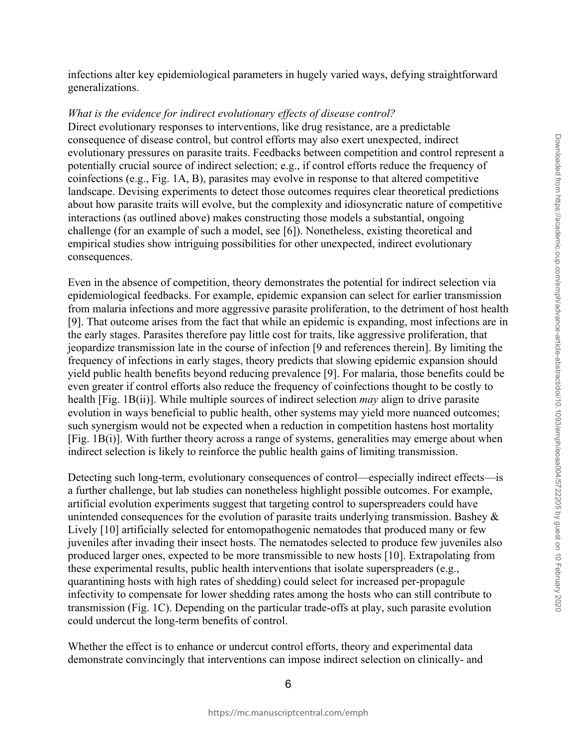infections alter key epidemiological parameters in hugely varied ways, defying straightforward generalizations.

#### *What is the evidence for indirect evolutionary effects of disease control?*

Direct evolutionary responses to interventions, like drug resistance, are a predictable consequence of disease control, but control efforts may also exert unexpected, indirect evolutionary pressures on parasite traits. Feedbacks between competition and control represent a potentially crucial source of indirect selection; e.g., if control efforts reduce the frequency of coinfections (e.g., Fig. 1A, B), parasites may evolve in response to that altered competitive landscape. Devising experiments to detect those outcomes requires clear theoretical predictions about how parasite traits will evolve, but the complexity and idiosyncratic nature of competitive interactions (as outlined above) makes constructing those models a substantial, ongoing challenge (for an example of such a model, see [6]). Nonetheless, existing theoretical and empirical studies show intriguing possibilities for other unexpected, indirect evolutionary consequences.

Even in the absence of competition, theory demonstrates the potential for indirect selection via epidemiological feedbacks. For example, epidemic expansion can select for earlier transmission from malaria infections and more aggressive parasite proliferation, to the detriment of host health [9]. That outcome arises from the fact that while an epidemic is expanding, most infections are in the early stages. Parasites therefore pay little cost for traits, like aggressive proliferation, that jeopardize transmission late in the course of infection [9 and references therein]. By limiting the frequency of infections in early stages, theory predicts that slowing epidemic expansion should yield public health benefits beyond reducing prevalence [9]. For malaria, those benefits could be even greater if control efforts also reduce the frequency of coinfections thought to be costly to health [Fig. 1B(ii)]. While multiple sources of indirect selection *may* align to drive parasite evolution in ways beneficial to public health, other systems may yield more nuanced outcomes; such synergism would not be expected when a reduction in competition hastens host mortality [Fig. 1B(i)]. With further theory across a range of systems, generalities may emerge about when indirect selection is likely to reinforce the public health gains of limiting transmission.

Detecting such long-term, evolutionary consequences of control—especially indirect effects—is a further challenge, but lab studies can nonetheless highlight possible outcomes. For example, artificial evolution experiments suggest that targeting control to superspreaders could have unintended consequences for the evolution of parasite traits underlying transmission. Bashey  $\&$ Lively [10] artificially selected for entomopathogenic nematodes that produced many or few juveniles after invading their insect hosts. The nematodes selected to produce few juveniles also produced larger ones, expected to be more transmissible to new hosts [10]. Extrapolating from these experimental results, public health interventions that isolate superspreaders (e.g., quarantining hosts with high rates of shedding) could select for increased per-propagule infectivity to compensate for lower shedding rates among the hosts who can still contribute to transmission (Fig. 1C). Depending on the particular trade-offs at play, such parasite evolution could undercut the long-term benefits of control.

Whether the effect is to enhance or undercut control efforts, theory and experimental data demonstrate convincingly that interventions can impose indirect selection on clinically- and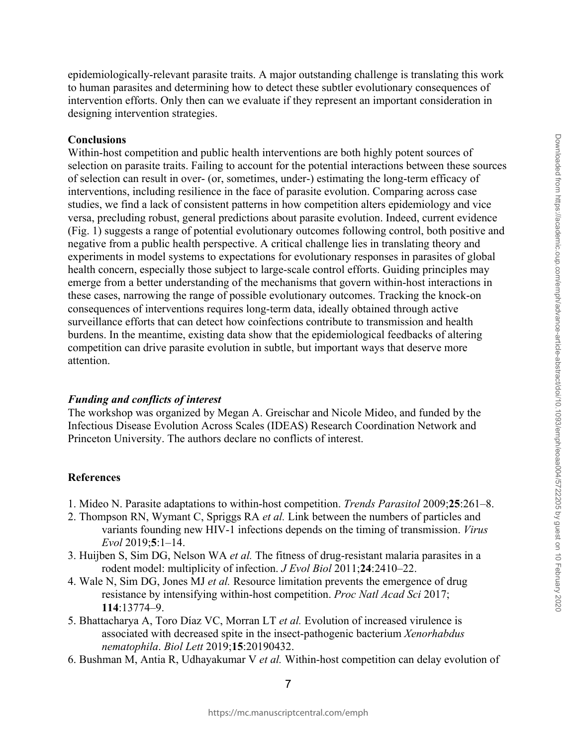# epidemiologically-relevant parasite traits. A major outstanding challenge is translating this work to human parasites and determining how to detect these subtler evolutionary consequences of intervention efforts. Only then can we evaluate if they represent an important consideration in designing intervention strategies.

# **Conclusions**

Within-host competition and public health interventions are both highly potent sources of selection on parasite traits. Failing to account for the potential interactions between these sources of selection can result in over- (or, sometimes, under-) estimating the long-term efficacy of interventions, including resilience in the face of parasite evolution. Comparing across case studies, we find a lack of consistent patterns in how competition alters epidemiology and vice versa, precluding robust, general predictions about parasite evolution. Indeed, current evidence (Fig. 1) suggests a range of potential evolutionary outcomes following control, both positive and negative from a public health perspective. A critical challenge lies in translating theory and experiments in model systems to expectations for evolutionary responses in parasites of global health concern, especially those subject to large-scale control efforts. Guiding principles may emerge from a better understanding of the mechanisms that govern within-host interactions in these cases, narrowing the range of possible evolutionary outcomes. Tracking the knock-on consequences of interventions requires long-term data, ideally obtained through active surveillance efforts that can detect how coinfections contribute to transmission and health burdens. In the meantime, existing data show that the epidemiological feedbacks of altering competition can drive parasite evolution in subtle, but important ways that deserve more attention.

## *Funding and conflicts of interest*

The workshop was organized by Megan A. Greischar and Nicole Mideo, and funded by the Infectious Disease Evolution Across Scales (IDEAS) Research Coordination Network and Princeton University. The authors declare no conflicts of interest.

## **References**

- 1. Mideo N. Parasite adaptations to within-host competition. *Trends Parasitol* 2009;**25**:261–8.
- 2. Thompson RN, Wymant C, Spriggs RA *et al.* Link between the numbers of particles and variants founding new HIV-1 infections depends on the timing of transmission. *Virus Evol* 2019;**5**:1–14.
- 3. Huijben S, Sim DG, Nelson WA *et al.* The fitness of drug-resistant malaria parasites in a rodent model: multiplicity of infection. *J Evol Biol* 2011;**24**:2410–22.
- 4. Wale N, Sim DG, Jones MJ *et al.* Resource limitation prevents the emergence of drug resistance by intensifying within-host competition. *Proc Natl Acad Sci* 2017; **114**:13774–9.
- 5. Bhattacharya A, Toro Díaz VC, Morran LT *et al.* Evolution of increased virulence is associated with decreased spite in the insect-pathogenic bacterium *Xenorhabdus nematophila*. *Biol Lett* 2019;**15**:20190432.
- 6. Bushman M, Antia R, Udhayakumar V *et al.* Within-host competition can delay evolution of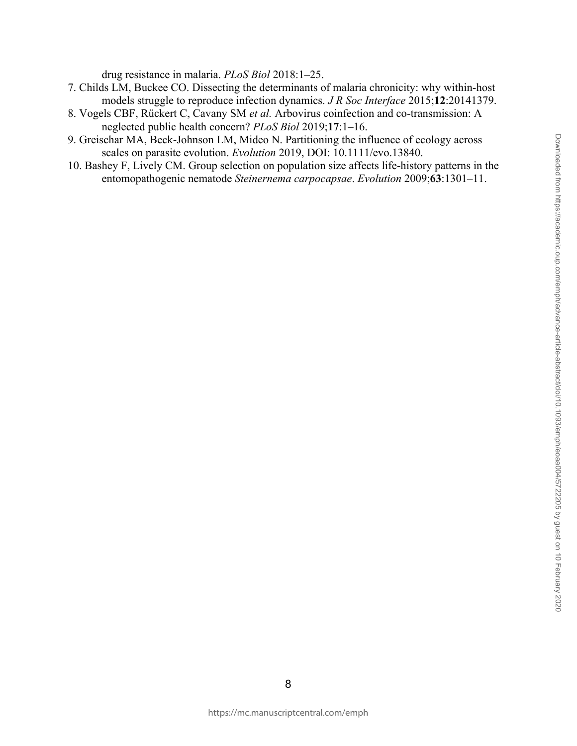drug resistance in malaria. *PLoS Biol* 2018:1–25.

- 7. Childs LM, Buckee CO. Dissecting the determinants of malaria chronicity: why within-host models struggle to reproduce infection dynamics. *J R Soc Interface* 2015;**12**:20141379.
- 8. Vogels CBF, Rückert C, Cavany SM *et al.* Arbovirus coinfection and co-transmission: A neglected public health concern? *PLoS Biol* 2019;**17**:1–16.
- 9. Greischar MA, Beck-Johnson LM, Mideo N. Partitioning the influence of ecology across scales on parasite evolution. *Evolution* 2019, DOI: 10.1111/evo.13840.
- 10. Bashey F, Lively CM. Group selection on population size affects life-history patterns in the entomopathogenic nematode *Steinernema carpocapsae*. *Evolution* 2009;**63**:1301–11.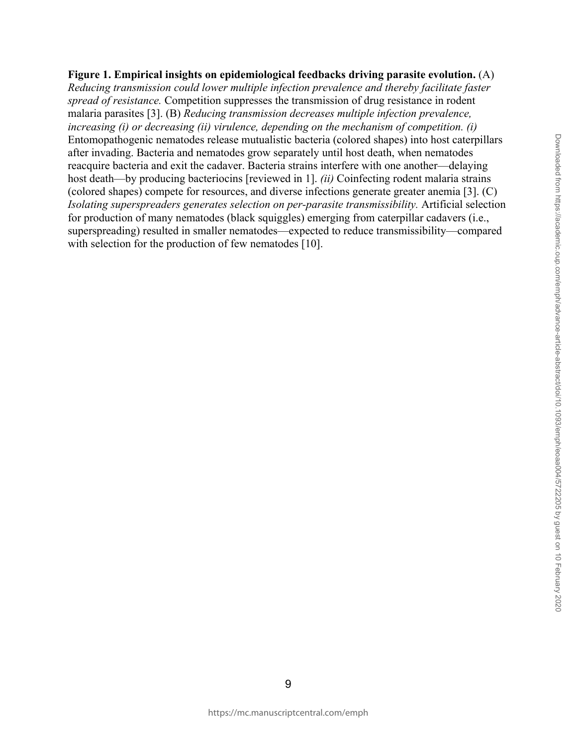## **Figure 1. Empirical insights on epidemiological feedbacks driving parasite evolution.** (A)

*Reducing transmission could lower multiple infection prevalence and thereby facilitate faster spread of resistance.* Competition suppresses the transmission of drug resistance in rodent malaria parasites [3]. (B) *Reducing transmission decreases multiple infection prevalence, increasing (i) or decreasing (ii) virulence, depending on the mechanism of competition. (i)*  Entomopathogenic nematodes release mutualistic bacteria (colored shapes) into host caterpillars after invading. Bacteria and nematodes grow separately until host death, when nematodes reacquire bacteria and exit the cadaver. Bacteria strains interfere with one another—delaying host death—by producing bacteriocins [reviewed in 1]. *(ii)* Coinfecting rodent malaria strains (colored shapes) compete for resources, and diverse infections generate greater anemia [3]. (C) *Isolating superspreaders generates selection on per-parasite transmissibility.* Artificial selection for production of many nematodes (black squiggles) emerging from caterpillar cadavers (i.e., superspreading) resulted in smaller nematodes—expected to reduce transmissibility—compared with selection for the production of few nematodes [10].